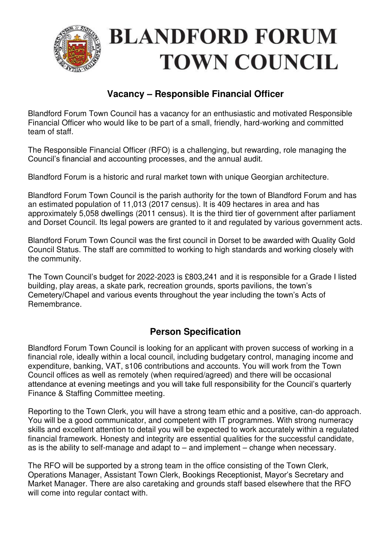

# **Vacancy – Responsible Financial Officer**

Blandford Forum Town Council has a vacancy for an enthusiastic and motivated Responsible Financial Officer who would like to be part of a small, friendly, hard-working and committed team of staff.

The Responsible Financial Officer (RFO) is a challenging, but rewarding, role managing the Council's financial and accounting processes, and the annual audit.

Blandford Forum is a historic and rural market town with unique Georgian architecture.

Blandford Forum Town Council is the parish authority for the town of Blandford Forum and has an estimated population of 11,013 (2017 census). It is 409 hectares in area and has approximately 5,058 dwellings (2011 census). It is the third tier of government after parliament and Dorset Council. Its legal powers are granted to it and regulated by various government acts.

Blandford Forum Town Council was the first council in Dorset to be awarded with Quality Gold Council Status. The staff are committed to working to high standards and working closely with the community.

The Town Council's budget for 2022-2023 is £803,241 and it is responsible for a Grade I listed building, play areas, a skate park, recreation grounds, sports pavilions, the town's Cemetery/Chapel and various events throughout the year including the town's Acts of Remembrance.

# **Person Specification**

Blandford Forum Town Council is looking for an applicant with proven success of working in a financial role, ideally within a local council, including budgetary control, managing income and expenditure, banking, VAT, s106 contributions and accounts. You will work from the Town Council offices as well as remotely (when required/agreed) and there will be occasional attendance at evening meetings and you will take full responsibility for the Council's quarterly Finance & Staffing Committee meeting.

Reporting to the Town Clerk, you will have a strong team ethic and a positive, can-do approach. You will be a good communicator, and competent with IT programmes. With strong numeracy skills and excellent attention to detail you will be expected to work accurately within a regulated financial framework. Honesty and integrity are essential qualities for the successful candidate, as is the ability to self-manage and adapt to – and implement – change when necessary.

The RFO will be supported by a strong team in the office consisting of the Town Clerk, Operations Manager, Assistant Town Clerk, Bookings Receptionist, Mayor's Secretary and Market Manager. There are also caretaking and grounds staff based elsewhere that the RFO will come into regular contact with.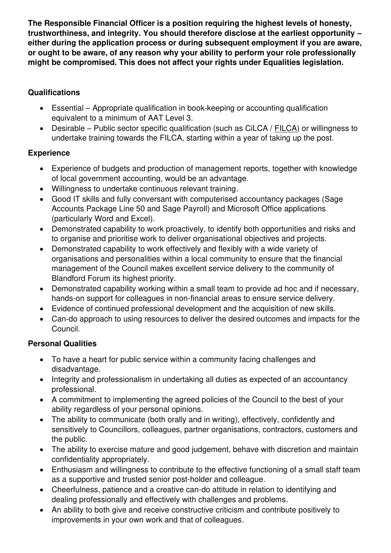**The Responsible Financial Officer is a position requiring the highest levels of honesty, trustworthiness, and integrity. You should therefore disclose at the earliest opportunity – either during the application process or during subsequent employment if you are aware, or ought to be aware, of any reason why your ability to perform your role professionally might be compromised. This does not affect your rights under Equalities legislation.** 

### **Qualifications**

- Essential Appropriate qualification in book-keeping or accounting qualification equivalent to a minimum of AAT Level 3.
- Desirable Public sector specific qualification (such as CiLCA / [FILCA\)](https://www.slcc.co.uk/qualification/filca/) or willingness to undertake training towards the FILCA, starting within a year of taking up the post.

#### **Experience**

- Experience of budgets and production of management reports, together with knowledge of local government accounting, would be an advantage.
- Willingness to undertake continuous relevant training.
- Good IT skills and fully conversant with computerised accountancy packages (Sage Accounts Package Line 50 and Sage Payroll) and Microsoft Office applications (particularly Word and Excel).
- Demonstrated capability to work proactively, to identify both opportunities and risks and to organise and prioritise work to deliver organisational objectives and projects.
- Demonstrated capability to work effectively and flexibly with a wide variety of organisations and personalities within a local community to ensure that the financial management of the Council makes excellent service delivery to the community of Blandford Forum its highest priority.
- Demonstrated capability working within a small team to provide ad hoc and if necessary, hands-on support for colleagues in non-financial areas to ensure service delivery.
- Evidence of continued professional development and the acquisition of new skills.
- Can-do approach to using resources to deliver the desired outcomes and impacts for the Council.

# **Personal Qualities**

- To have a heart for public service within a community facing challenges and disadvantage.
- Integrity and professionalism in undertaking all duties as expected of an accountancy professional.
- A commitment to implementing the agreed policies of the Council to the best of your ability regardless of your personal opinions.
- The ability to communicate (both orally and in writing), effectively, confidently and sensitively to Councillors, colleagues, partner organisations, contractors, customers and the public.
- The ability to exercise mature and good judgement, behave with discretion and maintain confidentiality appropriately.
- Enthusiasm and willingness to contribute to the effective functioning of a small staff team as a supportive and trusted senior post-holder and colleague.
- Cheerfulness, patience and a creative can-do attitude in relation to identifying and dealing professionally and effectively with challenges and problems.
- An ability to both give and receive constructive criticism and contribute positively to improvements in your own work and that of colleagues.